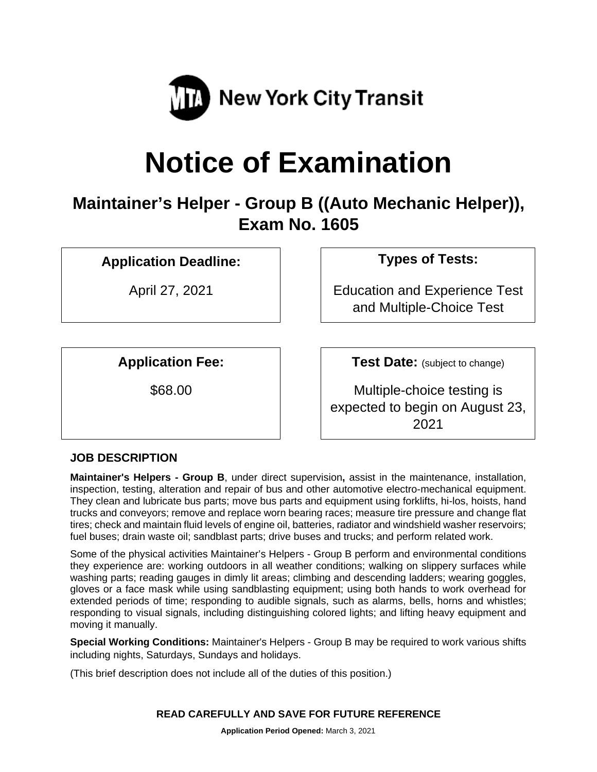

# **Notice of Examination**

# **Maintainer's Helper - Group B ((Auto Mechanic Helper)), Exam No. 1605**

## **Application Deadline: Types of Tests:**

April 27, 2021 **Education and Experience Test** and Multiple-Choice Test

**Application Fee: Test Date:** (subject to change)

\$68.00 Multiple-choice testing is expected to begin on August 23, 2021

### **JOB DESCRIPTION**

**Maintainer's Helpers - Group B**, under direct supervision**,** assist in the maintenance, installation, inspection, testing, alteration and repair of bus and other automotive electro-mechanical equipment. They clean and lubricate bus parts; move bus parts and equipment using forklifts, hi-los, hoists, hand trucks and conveyors; remove and replace worn bearing races; measure tire pressure and change flat tires; check and maintain fluid levels of engine oil, batteries, radiator and windshield washer reservoirs; fuel buses; drain waste oil; sandblast parts; drive buses and trucks; and perform related work.

Some of the physical activities Maintainer's Helpers - Group B perform and environmental conditions they experience are: working outdoors in all weather conditions; walking on slippery surfaces while washing parts; reading gauges in dimly lit areas; climbing and descending ladders; wearing goggles, gloves or a face mask while using sandblasting equipment; using both hands to work overhead for extended periods of time; responding to audible signals, such as alarms, bells, horns and whistles; responding to visual signals, including distinguishing colored lights; and lifting heavy equipment and moving it manually.

**Special Working Conditions:** Maintainer's Helpers - Group B may be required to work various shifts including nights, Saturdays, Sundays and holidays.

(This brief description does not include all of the duties of this position.)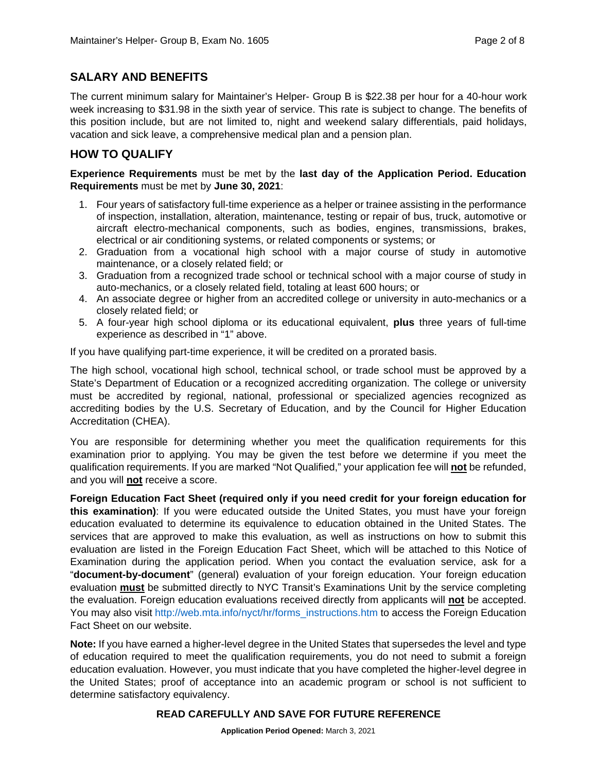#### **SALARY AND BENEFITS**

The current minimum salary for Maintainer's Helper- Group B is \$22.38 per hour for a 40-hour work week increasing to \$31.98 in the sixth year of service. This rate is subject to change. The benefits of this position include, but are not limited to, night and weekend salary differentials, paid holidays, vacation and sick leave, a comprehensive medical plan and a pension plan.

#### **HOW TO QUALIFY**

#### **Experience Requirements** must be met by the **last day of the Application Period. Education Requirements** must be met by **June 30, 2021**:

- 1. Four years of satisfactory full-time experience as a helper or trainee assisting in the performance of inspection, installation, alteration, maintenance, testing or repair of bus, truck, automotive or aircraft electro-mechanical components, such as bodies, engines, transmissions, brakes, electrical or air conditioning systems, or related components or systems; or
- 2. Graduation from a vocational high school with a major course of study in automotive maintenance, or a closely related field; or
- 3. Graduation from a recognized trade school or technical school with a major course of study in auto-mechanics, or a closely related field, totaling at least 600 hours; or
- 4. An associate degree or higher from an accredited college or university in auto-mechanics or a closely related field; or
- 5. A four-year high school diploma or its educational equivalent, **plus** three years of full-time experience as described in "1" above.

If you have qualifying part-time experience, it will be credited on a prorated basis.

The high school, vocational high school, technical school, or trade school must be approved by a State's Department of Education or a recognized accrediting organization. The college or university must be accredited by regional, national, professional or specialized agencies recognized as accrediting bodies by the U.S. Secretary of Education, and by the Council for Higher Education Accreditation (CHEA).

You are responsible for determining whether you meet the qualification requirements for this examination prior to applying. You may be given the test before we determine if you meet the qualification requirements. If you are marked "Not Qualified," your application fee will **not** be refunded, and you will **not** receive a score.

**Foreign Education Fact Sheet (required only if you need credit for your foreign education for this examination)**: If you were educated outside the United States, you must have your foreign education evaluated to determine its equivalence to education obtained in the United States. The services that are approved to make this evaluation, as well as instructions on how to submit this evaluation are listed in the Foreign Education Fact Sheet, which will be attached to this Notice of Examination during the application period. When you contact the evaluation service, ask for a "**document-by-document**" (general) evaluation of your foreign education. Your foreign education evaluation **must** be submitted directly to NYC Transit's Examinations Unit by the service completing the evaluation. Foreign education evaluations received directly from applicants will **not** be accepted. You may also visit [http://web.mta.info/nyct/hr/forms\\_instructions.htm](http://web.mta.info/nyct/hr/forms_instructions.htm) to access the Foreign Education Fact Sheet on our website.

**Note:** If you have earned a higher-level degree in the United States that supersedes the level and type of education required to meet the qualification requirements, you do not need to submit a foreign education evaluation. However, you must indicate that you have completed the higher-level degree in the United States; proof of acceptance into an academic program or school is not sufficient to determine satisfactory equivalency.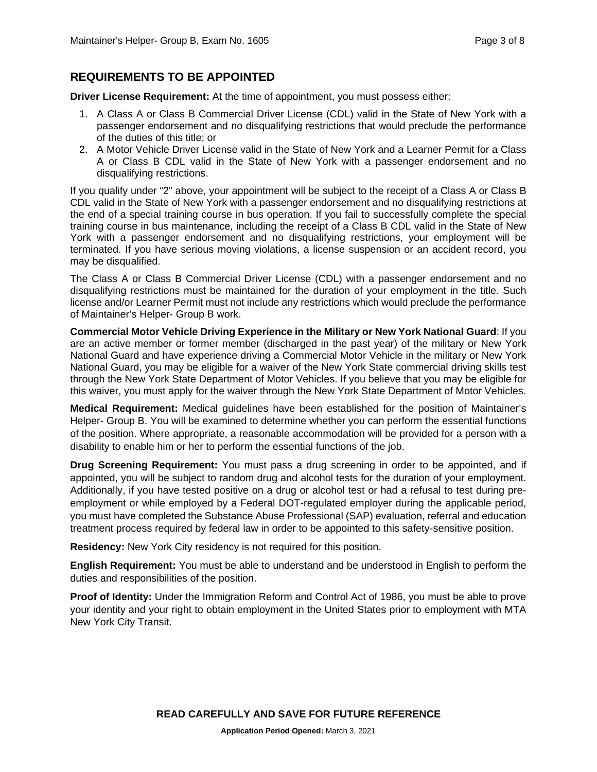#### **REQUIREMENTS TO BE APPOINTED**

**Driver License Requirement:** At the time of appointment, you must possess either:

- 1. A Class A or Class B Commercial Driver License (CDL) valid in the State of New York with a passenger endorsement and no disqualifying restrictions that would preclude the performance of the duties of this title; or
- 2. A Motor Vehicle Driver License valid in the State of New York and a Learner Permit for a Class A or Class B CDL valid in the State of New York with a passenger endorsement and no disqualifying restrictions.

If you qualify under "2" above, your appointment will be subject to the receipt of a Class A or Class B CDL valid in the State of New York with a passenger endorsement and no disqualifying restrictions at the end of a special training course in bus operation. If you fail to successfully complete the special training course in bus maintenance, including the receipt of a Class B CDL valid in the State of New York with a passenger endorsement and no disqualifying restrictions, your employment will be terminated. If you have serious moving violations, a license suspension or an accident record, you may be disqualified.

The Class A or Class B Commercial Driver License (CDL) with a passenger endorsement and no disqualifying restrictions must be maintained for the duration of your employment in the title. Such license and/or Learner Permit must not include any restrictions which would preclude the performance of Maintainer's Helper- Group B work.

**Commercial Motor Vehicle Driving Experience in the Military or New York National Guard**: If you are an active member or former member (discharged in the past year) of the military or New York National Guard and have experience driving a Commercial Motor Vehicle in the military or New York National Guard, you may be eligible for a waiver of the New York State commercial driving skills test through the New York State Department of Motor Vehicles. If you believe that you may be eligible for this waiver, you must apply for the waiver through the New York State Department of Motor Vehicles.

**Medical Requirement:** Medical guidelines have been established for the position of Maintainer's Helper- Group B. You will be examined to determine whether you can perform the essential functions of the position. Where appropriate, a reasonable accommodation will be provided for a person with a disability to enable him or her to perform the essential functions of the job.

**Drug Screening Requirement:** You must pass a drug screening in order to be appointed, and if appointed, you will be subject to random drug and alcohol tests for the duration of your employment. Additionally, if you have tested positive on a drug or alcohol test or had a refusal to test during preemployment or while employed by a Federal DOT-regulated employer during the applicable period, you must have completed the Substance Abuse Professional (SAP) evaluation, referral and education treatment process required by federal law in order to be appointed to this safety-sensitive position.

**Residency:** New York City residency is not required for this position.

**English Requirement:** You must be able to understand and be understood in English to perform the duties and responsibilities of the position.

**Proof of Identity:** Under the Immigration Reform and Control Act of 1986, you must be able to prove your identity and your right to obtain employment in the United States prior to employment with MTA New York City Transit.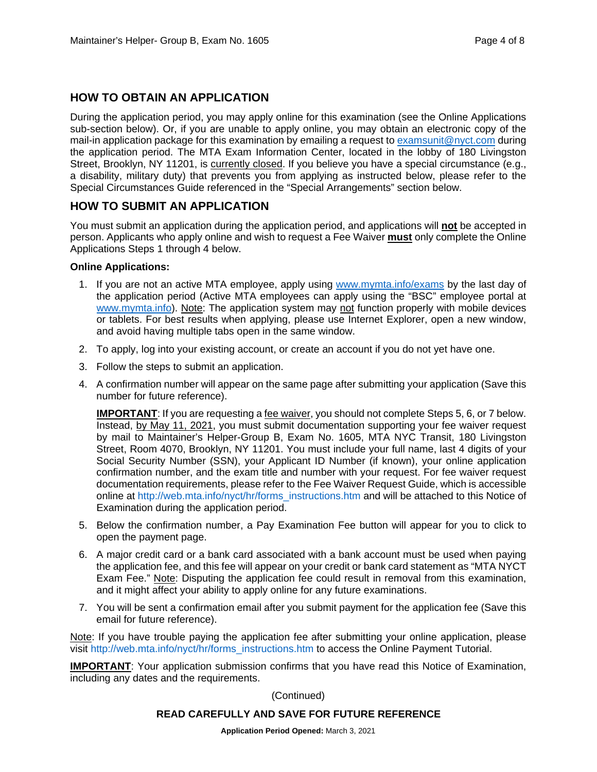#### **HOW TO OBTAIN AN APPLICATION**

During the application period, you may apply online for this examination (see the Online Applications sub-section below). Or, if you are unable to apply online, you may obtain an electronic copy of the mail-in application package for this examination by emailing a request to [examsunit@nyct.com](mailto:examsunit@nyct.com) during the application period. The MTA Exam Information Center, located in the lobby of 180 Livingston Street, Brooklyn, NY 11201, is currently closed. If you believe you have a special circumstance (e.g., a disability, military duty) that prevents you from applying as instructed below, please refer to the Special Circumstances Guide referenced in the "Special Arrangements" section below.

#### **HOW TO SUBMIT AN APPLICATION**

You must submit an application during the application period, and applications will **not** be accepted in person. Applicants who apply online and wish to request a Fee Waiver **must** only complete the Online Applications Steps 1 through 4 below.

#### **Online Applications:**

- 1. If you are not an active MTA employee, apply using [www.mymta.info/exams](http://www.mymta.info/exams) by the last day of the application period (Active MTA employees can apply using the "BSC" employee portal at [www.mymta.info\)](http://www.mymta.info/). Note: The application system may not function properly with mobile devices or tablets. For best results when applying, please use Internet Explorer, open a new window, and avoid having multiple tabs open in the same window.
- 2. To apply, log into your existing account, or create an account if you do not yet have one.
- 3. Follow the steps to submit an application.
- 4. A confirmation number will appear on the same page after submitting your application (Save this number for future reference).

**IMPORTANT:** If you are requesting a fee waiver, you should not complete Steps 5, 6, or 7 below. Instead, by May 11, 2021, you must submit documentation supporting your fee waiver request by mail to Maintainer's Helper-Group B, Exam No. 1605, MTA NYC Transit, 180 Livingston Street, Room 4070, Brooklyn, NY 11201. You must include your full name, last 4 digits of your Social Security Number (SSN), your Applicant ID Number (if known), your online application confirmation number, and the exam title and number with your request. For fee waiver request documentation requirements, please refer to the Fee Waiver Request Guide, which is accessible online at [http://web.mta.info/nyct/hr/forms\\_instructions.htm](http://web.mta.info/nyct/hr/forms_instructions.htm) and will be attached to this Notice of Examination during the application period.

- 5. Below the confirmation number, a Pay Examination Fee button will appear for you to click to open the payment page.
- 6. A major credit card or a bank card associated with a bank account must be used when paying the application fee, and this fee will appear on your credit or bank card statement as "MTA NYCT Exam Fee." Note: Disputing the application fee could result in removal from this examination, and it might affect your ability to apply online for any future examinations.
- 7. You will be sent a confirmation email after you submit payment for the application fee (Save this email for future reference).

Note: If you have trouble paying the application fee after submitting your online application, please visit [http://web.mta.info/nyct/hr/forms\\_instructions.htm](http://web.mta.info/nyct/hr/forms_instructions.htm) to access the Online Payment Tutorial.

**IMPORTANT:** Your application submission confirms that you have read this Notice of Examination, including any dates and the requirements.

(Continued)

#### **READ CAREFULLY AND SAVE FOR FUTURE REFERENCE**

**Application Period Opened:** March 3, 2021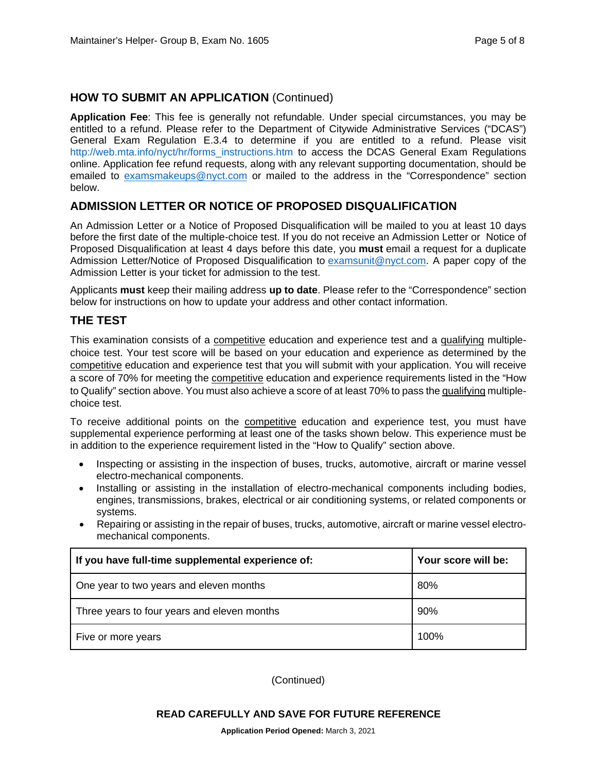#### **HOW TO SUBMIT AN APPLICATION** (Continued)

**Application Fee**: This fee is generally not refundable. Under special circumstances, you may be entitled to a refund. Please refer to the Department of Citywide Administrative Services ("DCAS") General Exam Regulation E.3.4 to determine if you are entitled to a refund. Please visit [http://web.mta.info/nyct/hr/forms\\_instructions.htm](http://web.mta.info/nyct/hr/forms_instructions.htm) to access the DCAS General Exam Regulations online. Application fee refund requests, along with any relevant supporting documentation, should be emailed to [examsmakeups@nyct.com](mailto:examsmakeups@nyct.com) or mailed to the address in the "Correspondence" section below.

#### **ADMISSION LETTER OR NOTICE OF PROPOSED DISQUALIFICATION**

An Admission Letter or a Notice of Proposed Disqualification will be mailed to you at least 10 days before the first date of the multiple-choice test. If you do not receive an Admission Letter or Notice of Proposed Disqualification at least 4 days before this date, you **must** email a request for a duplicate Admission Letter/Notice of Proposed Disqualification to [examsunit@nyct.com.](mailto:examsunit@nyct.com) A paper copy of the Admission Letter is your ticket for admission to the test.

Applicants **must** keep their mailing address **up to date**. Please refer to the "Correspondence" section below for instructions on how to update your address and other contact information.

#### **THE TEST**

This examination consists of a competitive education and experience test and a qualifying multiplechoice test. Your test score will be based on your education and experience as determined by the competitive education and experience test that you will submit with your application. You will receive a score of 70% for meeting the competitive education and experience requirements listed in the "How to Qualify" section above. You must also achieve a score of at least 70% to pass the qualifying multiplechoice test.

To receive additional points on the competitive education and experience test, you must have supplemental experience performing at least one of the tasks shown below. This experience must be in addition to the experience requirement listed in the "How to Qualify" section above.

- Inspecting or assisting in the inspection of buses, trucks, automotive, aircraft or marine vessel electro-mechanical components.
- Installing or assisting in the installation of electro-mechanical components including bodies, engines, transmissions, brakes, electrical or air conditioning systems, or related components or systems.
- Repairing or assisting in the repair of buses, trucks, automotive, aircraft or marine vessel electromechanical components.

| If you have full-time supplemental experience of: | Your score will be: |
|---------------------------------------------------|---------------------|
| One year to two years and eleven months           | 80%                 |
| Three years to four years and eleven months       | 90%                 |
| Five or more years                                | 100%                |

(Continued)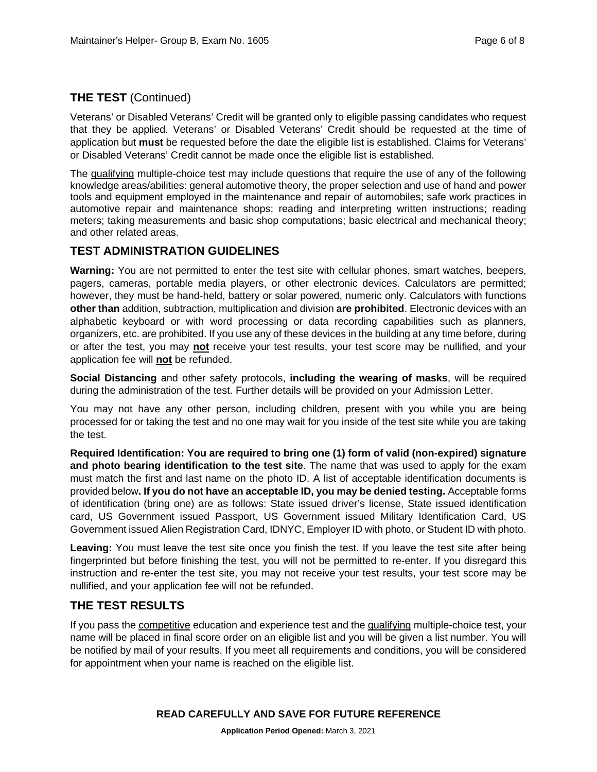#### **THE TEST** (Continued)

Veterans' or Disabled Veterans' Credit will be granted only to eligible passing candidates who request that they be applied. Veterans' or Disabled Veterans' Credit should be requested at the time of application but **must** be requested before the date the eligible list is established. Claims for Veterans' or Disabled Veterans' Credit cannot be made once the eligible list is established.

The qualifying multiple-choice test may include questions that require the use of any of the following knowledge areas/abilities: general automotive theory, the proper selection and use of hand and power tools and equipment employed in the maintenance and repair of automobiles; safe work practices in automotive repair and maintenance shops; reading and interpreting written instructions; reading meters; taking measurements and basic shop computations; basic electrical and mechanical theory; and other related areas.

#### **TEST ADMINISTRATION GUIDELINES**

**Warning:** You are not permitted to enter the test site with cellular phones, smart watches, beepers, pagers, cameras, portable media players, or other electronic devices. Calculators are permitted; however, they must be hand-held, battery or solar powered, numeric only. Calculators with functions **other than** addition, subtraction, multiplication and division **are prohibited**. Electronic devices with an alphabetic keyboard or with word processing or data recording capabilities such as planners, organizers, etc. are prohibited. If you use any of these devices in the building at any time before, during or after the test, you may **not** receive your test results, your test score may be nullified, and your application fee will **not** be refunded.

**Social Distancing** and other safety protocols, **including the wearing of masks**, will be required during the administration of the test. Further details will be provided on your Admission Letter.

You may not have any other person, including children, present with you while you are being processed for or taking the test and no one may wait for you inside of the test site while you are taking the test.

**Required Identification: You are required to bring one (1) form of valid (non-expired) signature and photo bearing identification to the test site**. The name that was used to apply for the exam must match the first and last name on the photo ID. A list of acceptable identification documents is provided below**. If you do not have an acceptable ID, you may be denied testing.** Acceptable forms of identification (bring one) are as follows: State issued driver's license, State issued identification card, US Government issued Passport, US Government issued Military Identification Card, US Government issued Alien Registration Card, IDNYC, Employer ID with photo, or Student ID with photo.

**Leaving:** You must leave the test site once you finish the test. If you leave the test site after being fingerprinted but before finishing the test, you will not be permitted to re-enter. If you disregard this instruction and re-enter the test site, you may not receive your test results, your test score may be nullified, and your application fee will not be refunded.

#### **THE TEST RESULTS**

If you pass the competitive education and experience test and the qualifying multiple-choice test, your name will be placed in final score order on an eligible list and you will be given a list number. You will be notified by mail of your results. If you meet all requirements and conditions, you will be considered for appointment when your name is reached on the eligible list.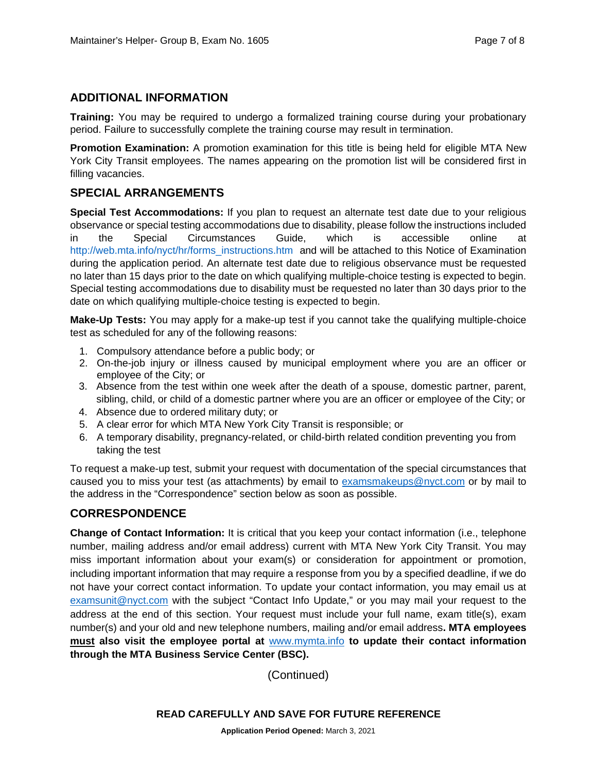#### **ADDITIONAL INFORMATION**

**Training:** You may be required to undergo a formalized training course during your probationary period. Failure to successfully complete the training course may result in termination.

**Promotion Examination:** A promotion examination for this title is being held for eligible MTA New York City Transit employees. The names appearing on the promotion list will be considered first in filling vacancies.

#### **SPECIAL ARRANGEMENTS**

**Special Test Accommodations:** If you plan to request an alternate test date due to your religious observance or special testing accommodations due to disability, please follow the instructions included in the Special Circumstances Guide, which is accessible online at [http://web.mta.info/nyct/hr/forms\\_instructions.htm](http://web.mta.info/nyct/hr/forms_instructions.htm) and will be attached to this Notice of Examination during the application period. An alternate test date due to religious observance must be requested no later than 15 days prior to the date on which qualifying multiple-choice testing is expected to begin. Special testing accommodations due to disability must be requested no later than 30 days prior to the date on which qualifying multiple-choice testing is expected to begin.

**Make-Up Tests:** You may apply for a make-up test if you cannot take the qualifying multiple-choice test as scheduled for any of the following reasons:

- 1. Compulsory attendance before a public body; or
- 2. On-the-job injury or illness caused by municipal employment where you are an officer or employee of the City; or
- 3. Absence from the test within one week after the death of a spouse, domestic partner, parent, sibling, child, or child of a domestic partner where you are an officer or employee of the City; or
- 4. Absence due to ordered military duty; or
- 5. A clear error for which MTA New York City Transit is responsible; or
- 6. A temporary disability, pregnancy-related, or child-birth related condition preventing you from taking the test

To request a make-up test, submit your request with documentation of the special circumstances that caused you to miss your test (as attachments) by email to [examsmakeups@nyct.com](mailto:examsmakeups@nyct.com) or by mail to the address in the "Correspondence" section below as soon as possible.

#### **CORRESPONDENCE**

**Change of Contact Information:** It is critical that you keep your contact information (i.e., telephone number, mailing address and/or email address) current with MTA New York City Transit. You may miss important information about your exam(s) or consideration for appointment or promotion, including important information that may require a response from you by a specified deadline, if we do not have your correct contact information. To update your contact information, you may email us at [examsunit@nyct.com](mailto:examsunit@nyct.com) with the subject "Contact Info Update," or you may mail your request to the address at the end of this section. Your request must include your full name, exam title(s), exam number(s) and your old and new telephone numbers, mailing and/or email address**. MTA employees must also visit the employee portal at** [www.mymta.info](http://www.mymta.info/) **to update their contact information through the MTA Business Service Center (BSC).**

(Continued)